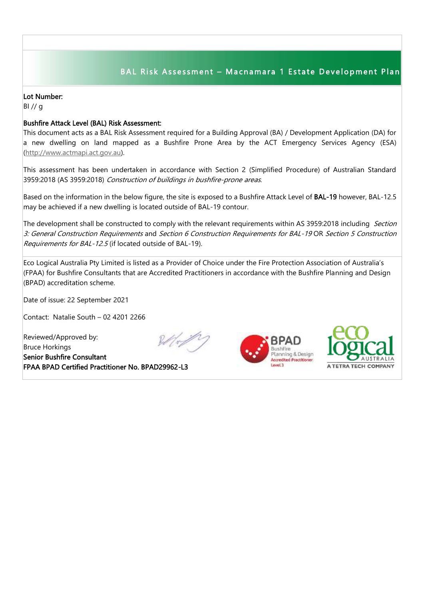## BAL Risk Assessment - Macnamara 1 Estate Development Plan

## Lot Number:

BI // g

## Bushfire Attack Level (BAL) Risk Assessment:

This document acts as a BAL Risk Assessment required for a Building Approval (BA) / Development Application (DA) for a new dwelling on land mapped as a Bushfire Prone Area by the ACT Emergency Services Agency (ESA) [\(http://www.actmapi.act.gov.au\)](http://www.actmapi.act.gov.au/).

This assessment has been undertaken in accordance with Section 2 (Simplified Procedure) of Australian Standard 3959:2018 (AS 3959:2018) Construction of buildings in bushfire-prone areas.

Based on the information in the below figure, the site is exposed to a Bushfire Attack Level of BAL-19 however, BAL-12.5 may be achieved if a new dwelling is located outside of BAL-19 contour.

The development shall be constructed to comply with the relevant requirements within AS 3959:2018 including Section 3: General Construction Requirements and Section 6 Construction Requirements for BAL-19 OR Section 5 Construction Requirements for BAL-12.5 (if located outside of BAL-19).

Eco Logical Australia Pty Limited is listed as a Provider of Choice under the Fire Protection Association of Australia's (FPAA) for Bushfire Consultants that are Accredited Practitioners in accordance with the Bushfire Planning and Design (BPAD) accreditation scheme.

Date of issue: 22 September 2021

Contact: Natalie South – 02 4201 2266

Reviewed/Approved by: Bruce Horkings Senior Bushfire Consultant FPAA BPAD Certified Practitioner No. BPAD29962-L3





I